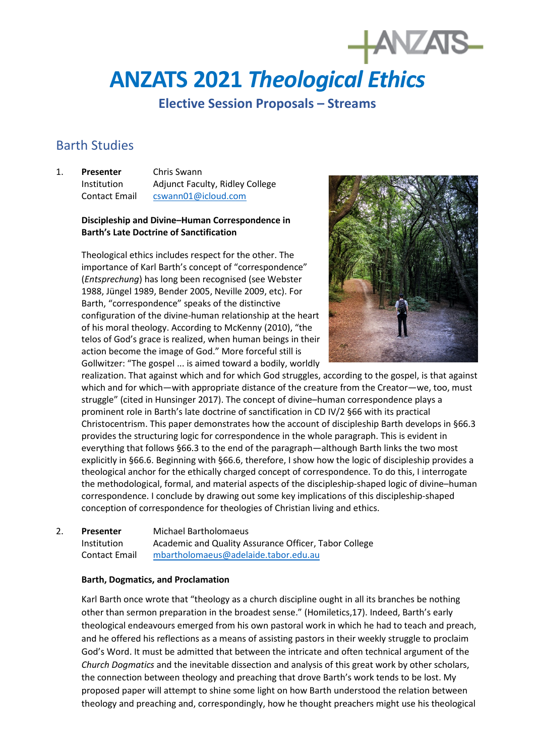# **ANZATS 2021** *Theological Ethics*

**Elective Session Proposals – Streams** 

## Barth Studies

1. **Presenter** Chris Swann Institution Adjunct Faculty, Ridley College Contact Email [cswann01@icloud.com](mailto:cswann01@icloud.com)

#### **Discipleship and Divine–Human Correspondence in Barth's Late Doctrine of Sanctification**

Theological ethics includes respect for the other. The importance of Karl Barth's concept of "correspondence" (*Entsprechung*) has long been recognised (see Webster 1988, Jüngel 1989, Bender 2005, Neville 2009, etc). For Barth, "correspondence" speaks of the distinctive configuration of the divine-human relationship at the heart of his moral theology. According to McKenny (2010), "the telos of God's grace is realized, when human beings in their action become the image of God." More forceful still is Gollwitzer: "The gospel ... is aimed toward a bodily, worldly



realization. That against which and for which God struggles, according to the gospel, is that against which and for which—with appropriate distance of the creature from the Creator—we, too, must struggle" (cited in Hunsinger 2017). The concept of divine–human correspondence plays a prominent role in Barth's late doctrine of sanctification in CD IV/2 §66 with its practical Christocentrism. This paper demonstrates how the account of discipleship Barth develops in §66.3 provides the structuring logic for correspondence in the whole paragraph. This is evident in everything that follows §66.3 to the end of the paragraph—although Barth links the two most explicitly in §66.6. Beginning with §66.6, therefore, I show how the logic of discipleship provides a theological anchor for the ethically charged concept of correspondence. To do this, I interrogate the methodological, formal, and material aspects of the discipleship-shaped logic of divine–human correspondence. I conclude by drawing out some key implications of this discipleship-shaped conception of correspondence for theologies of Christian living and ethics.

2. **Presenter** Michael Bartholomaeus Institution Academic and Quality Assurance Officer, Tabor College Contact Email [mbartholomaeus@adelaide.tabor.edu.au](mailto:mbartholomaeus@adelaide.tabor.edu.au)

#### **Barth, Dogmatics, and Proclamation**

Karl Barth once wrote that "theology as a church discipline ought in all its branches be nothing other than sermon preparation in the broadest sense." (Homiletics,17). Indeed, Barth's early theological endeavours emerged from his own pastoral work in which he had to teach and preach, and he offered his reflections as a means of assisting pastors in their weekly struggle to proclaim God's Word. It must be admitted that between the intricate and often technical argument of the *Church Dogmatics* and the inevitable dissection and analysis of this great work by other scholars, the connection between theology and preaching that drove Barth's work tends to be lost. My proposed paper will attempt to shine some light on how Barth understood the relation between theology and preaching and, correspondingly, how he thought preachers might use his theological